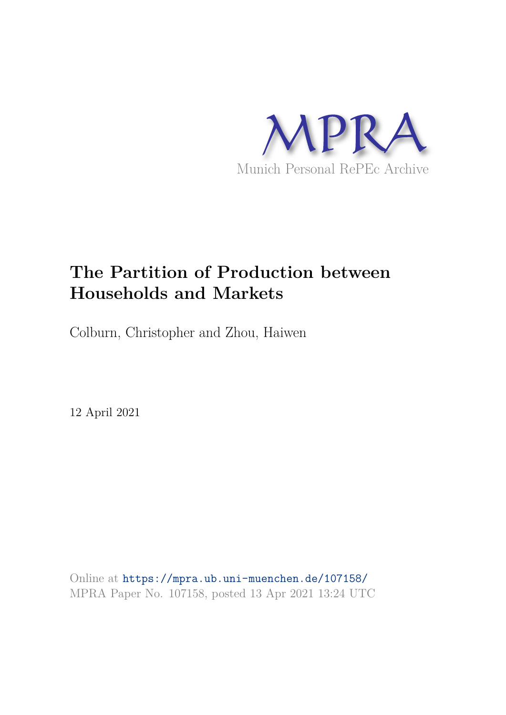

# **The Partition of Production between Households and Markets**

Colburn, Christopher and Zhou, Haiwen

12 April 2021

Online at https://mpra.ub.uni-muenchen.de/107158/ MPRA Paper No. 107158, posted 13 Apr 2021 13:24 UTC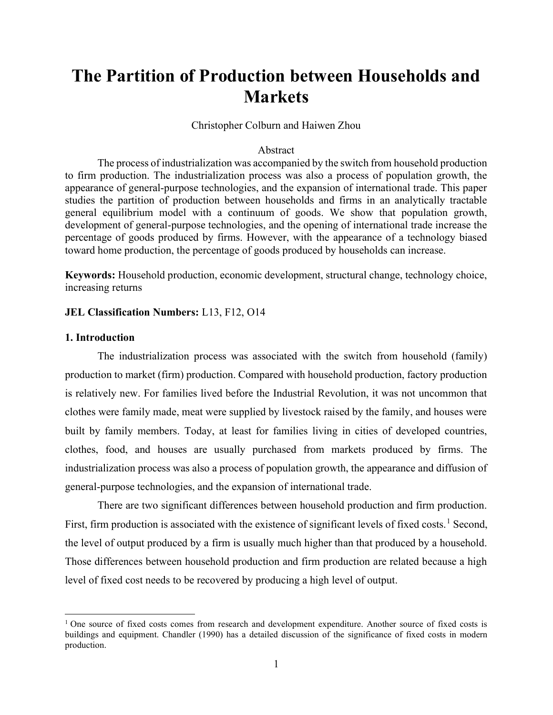# The Partition of Production between Households and Markets

Christopher Colburn and Haiwen Zhou

# Abstract

The process of industrialization was accompanied by the switch from household production to firm production. The industrialization process was also a process of population growth, the appearance of general-purpose technologies, and the expansion of international trade. This paper studies the partition of production between households and firms in an analytically tractable general equilibrium model with a continuum of goods. We show that population growth, development of general-purpose technologies, and the opening of international trade increase the percentage of goods produced by firms. However, with the appearance of a technology biased toward home production, the percentage of goods produced by households can increase.

Keywords: Household production, economic development, structural change, technology choice, increasing returns

# JEL Classification Numbers: L13, F12, O14

## 1. Introduction

The industrialization process was associated with the switch from household (family) production to market (firm) production. Compared with household production, factory production is relatively new. For families lived before the Industrial Revolution, it was not uncommon that clothes were family made, meat were supplied by livestock raised by the family, and houses were built by family members. Today, at least for families living in cities of developed countries, clothes, food, and houses are usually purchased from markets produced by firms. The industrialization process was also a process of population growth, the appearance and diffusion of general-purpose technologies, and the expansion of international trade.

 There are two significant differences between household production and firm production. First, firm production is associated with the existence of significant levels of fixed costs.<sup>1</sup> Second, the level of output produced by a firm is usually much higher than that produced by a household. Those differences between household production and firm production are related because a high level of fixed cost needs to be recovered by producing a high level of output.

<sup>&</sup>lt;sup>1</sup> One source of fixed costs comes from research and development expenditure. Another source of fixed costs is buildings and equipment. Chandler (1990) has a detailed discussion of the significance of fixed costs in modern production.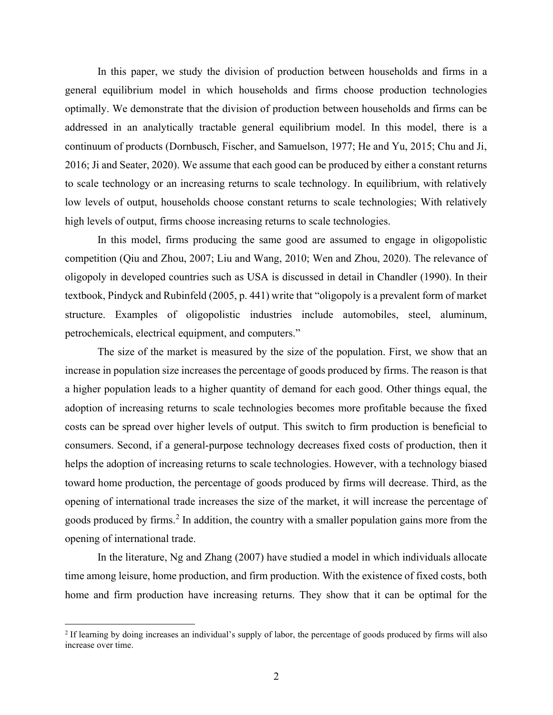In this paper, we study the division of production between households and firms in a general equilibrium model in which households and firms choose production technologies optimally. We demonstrate that the division of production between households and firms can be addressed in an analytically tractable general equilibrium model. In this model, there is a continuum of products (Dornbusch, Fischer, and Samuelson, 1977; He and Yu, 2015; Chu and Ji, 2016; Ji and Seater, 2020). We assume that each good can be produced by either a constant returns to scale technology or an increasing returns to scale technology. In equilibrium, with relatively low levels of output, households choose constant returns to scale technologies; With relatively high levels of output, firms choose increasing returns to scale technologies.

In this model, firms producing the same good are assumed to engage in oligopolistic competition (Qiu and Zhou, 2007; Liu and Wang, 2010; Wen and Zhou, 2020). The relevance of oligopoly in developed countries such as USA is discussed in detail in Chandler (1990). In their textbook, Pindyck and Rubinfeld (2005, p. 441) write that "oligopoly is a prevalent form of market structure. Examples of oligopolistic industries include automobiles, steel, aluminum, petrochemicals, electrical equipment, and computers."

The size of the market is measured by the size of the population. First, we show that an increase in population size increases the percentage of goods produced by firms. The reason is that a higher population leads to a higher quantity of demand for each good. Other things equal, the adoption of increasing returns to scale technologies becomes more profitable because the fixed costs can be spread over higher levels of output. This switch to firm production is beneficial to consumers. Second, if a general-purpose technology decreases fixed costs of production, then it helps the adoption of increasing returns to scale technologies. However, with a technology biased toward home production, the percentage of goods produced by firms will decrease. Third, as the opening of international trade increases the size of the market, it will increase the percentage of goods produced by firms.<sup>2</sup> In addition, the country with a smaller population gains more from the opening of international trade.

In the literature, Ng and Zhang (2007) have studied a model in which individuals allocate time among leisure, home production, and firm production. With the existence of fixed costs, both home and firm production have increasing returns. They show that it can be optimal for the

 $2$  If learning by doing increases an individual's supply of labor, the percentage of goods produced by firms will also increase over time.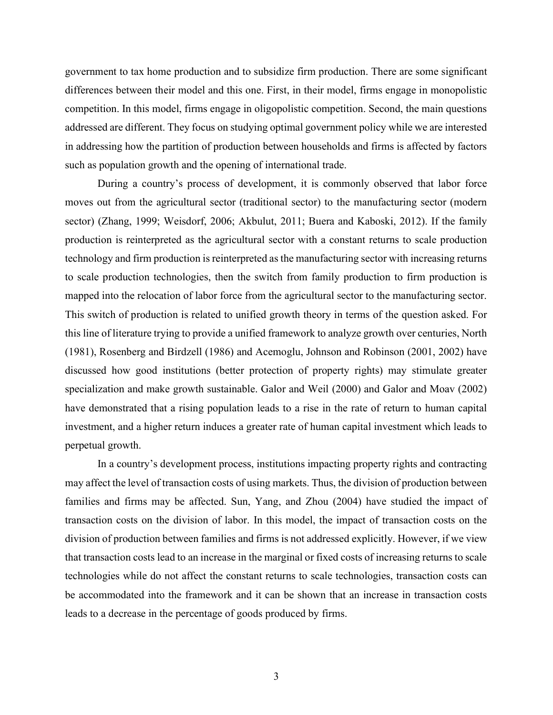government to tax home production and to subsidize firm production. There are some significant differences between their model and this one. First, in their model, firms engage in monopolistic competition. In this model, firms engage in oligopolistic competition. Second, the main questions addressed are different. They focus on studying optimal government policy while we are interested in addressing how the partition of production between households and firms is affected by factors such as population growth and the opening of international trade.

During a country's process of development, it is commonly observed that labor force moves out from the agricultural sector (traditional sector) to the manufacturing sector (modern sector) (Zhang, 1999; Weisdorf, 2006; Akbulut, 2011; Buera and Kaboski, 2012). If the family production is reinterpreted as the agricultural sector with a constant returns to scale production technology and firm production is reinterpreted as the manufacturing sector with increasing returns to scale production technologies, then the switch from family production to firm production is mapped into the relocation of labor force from the agricultural sector to the manufacturing sector. This switch of production is related to unified growth theory in terms of the question asked. For this line of literature trying to provide a unified framework to analyze growth over centuries, North (1981), Rosenberg and Birdzell (1986) and Acemoglu, Johnson and Robinson (2001, 2002) have discussed how good institutions (better protection of property rights) may stimulate greater specialization and make growth sustainable. Galor and Weil (2000) and Galor and Moav (2002) have demonstrated that a rising population leads to a rise in the rate of return to human capital investment, and a higher return induces a greater rate of human capital investment which leads to perpetual growth.

In a country's development process, institutions impacting property rights and contracting may affect the level of transaction costs of using markets. Thus, the division of production between families and firms may be affected. Sun, Yang, and Zhou (2004) have studied the impact of transaction costs on the division of labor. In this model, the impact of transaction costs on the division of production between families and firms is not addressed explicitly. However, if we view that transaction costs lead to an increase in the marginal or fixed costs of increasing returns to scale technologies while do not affect the constant returns to scale technologies, transaction costs can be accommodated into the framework and it can be shown that an increase in transaction costs leads to a decrease in the percentage of goods produced by firms.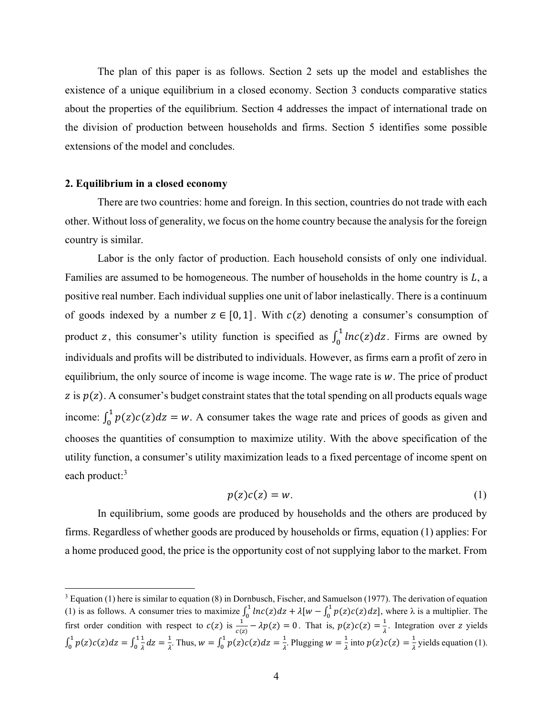The plan of this paper is as follows. Section 2 sets up the model and establishes the existence of a unique equilibrium in a closed economy. Section 3 conducts comparative statics about the properties of the equilibrium. Section 4 addresses the impact of international trade on the division of production between households and firms. Section 5 identifies some possible extensions of the model and concludes.

# 2. Equilibrium in a closed economy

There are two countries: home and foreign. In this section, countries do not trade with each other. Without loss of generality, we focus on the home country because the analysis for the foreign country is similar.

Labor is the only factor of production. Each household consists of only one individual. Families are assumed to be homogeneous. The number of households in the home country is  $L$ , a positive real number. Each individual supplies one unit of labor inelastically. There is a continuum of goods indexed by a number  $z \in [0, 1]$ . With  $c(z)$  denoting a consumer's consumption of product z, this consumer's utility function is specified as  $\int_0^1 ln(c|z) dz$ . Firms are owned by individuals and profits will be distributed to individuals. However, as firms earn a profit of zero in equilibrium, the only source of income is wage income. The wage rate is  $w$ . The price of product z is  $p(z)$ . A consumer's budget constraint states that the total spending on all products equals wage income:  $\int_0^1 p(z)c(z)dz = w$ . A consumer takes the wage rate and prices of goods as given and chooses the quantities of consumption to maximize utility. With the above specification of the utility function, a consumer's utility maximization leads to a fixed percentage of income spent on each product:<sup>3</sup>

$$
p(z)c(z) = w.\tag{1}
$$

 In equilibrium, some goods are produced by households and the others are produced by firms. Regardless of whether goods are produced by households or firms, equation (1) applies: For a home produced good, the price is the opportunity cost of not supplying labor to the market. From

 $3$  Equation (1) here is similar to equation (8) in Dornbusch, Fischer, and Samuelson (1977). The derivation of equation (1) is as follows. A consumer tries to maximize  $\int_0^1 ln(c|z)dz + \lambda [w - \int_0^1 p(z)c(z)dz]$ , where  $\lambda$  is a multiplier. The first order condition with respect to  $c(z)$  is  $\frac{1}{c(z)} - \lambda p(z) = 0$ . That is,  $p(z)c(z) = \frac{1}{\lambda}$  $\frac{1}{\lambda}$ . Integration over z yields  $\int_0^1 p(z)c(z)dz = \int_0^1 \frac{1}{\lambda}$ ఒ  $\mathbf{1}$  $\boldsymbol{\mathsf{0}}$  $\mathbf{1}$  $\int_0^1 p(z)c(z)dz = \int_0^1 \frac{1}{\lambda}dz = \frac{1}{\lambda}$ . Thus,  $w = \int_0^1 p(z)c(z)dz = \frac{1}{\lambda}$  $\mathbf{1}$  $\int_0^1 p(z)c(z)dz = \frac{1}{\lambda}$ . Plugging  $w = \frac{1}{\lambda}$  $\frac{1}{\lambda}$  into  $p(z)c(z) = \frac{1}{\lambda}$  $\frac{1}{\lambda}$  yields equation (1).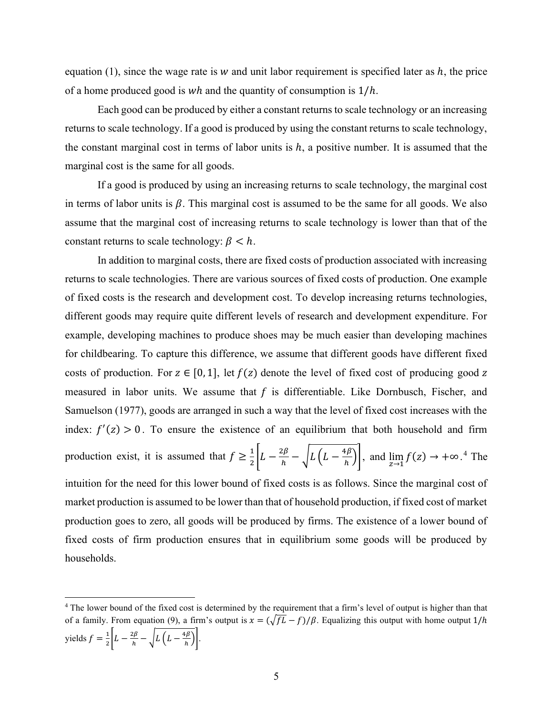equation (1), since the wage rate is  $w$  and unit labor requirement is specified later as  $h$ , the price of a home produced good is wh and the quantity of consumption is  $1/h$ .

Each good can be produced by either a constant returns to scale technology or an increasing returns to scale technology. If a good is produced by using the constant returns to scale technology, the constant marginal cost in terms of labor units is  $h$ , a positive number. It is assumed that the marginal cost is the same for all goods.

If a good is produced by using an increasing returns to scale technology, the marginal cost in terms of labor units is  $\beta$ . This marginal cost is assumed to be the same for all goods. We also assume that the marginal cost of increasing returns to scale technology is lower than that of the constant returns to scale technology:  $\beta < h$ .

In addition to marginal costs, there are fixed costs of production associated with increasing returns to scale technologies. There are various sources of fixed costs of production. One example of fixed costs is the research and development cost. To develop increasing returns technologies, different goods may require quite different levels of research and development expenditure. For example, developing machines to produce shoes may be much easier than developing machines for childbearing. To capture this difference, we assume that different goods have different fixed costs of production. For  $z \in [0, 1]$ , let  $f(z)$  denote the level of fixed cost of producing good z measured in labor units. We assume that  $f$  is differentiable. Like Dornbusch, Fischer, and Samuelson (1977), goods are arranged in such a way that the level of fixed cost increases with the index:  $f'(z) > 0$ . To ensure the existence of an equilibrium that both household and firm production exist, it is assumed that  $f \ge \frac{1}{2} \left| L - \frac{2\beta}{h} - \sqrt{L\left(L - \frac{4\beta}{h}\right)} \right|$ , and  $\lim_{z \to 1} f(z) \to +\infty$ .<sup>4</sup> The intuition for the need for this lower bound of fixed costs is as follows. Since the marginal cost of

market production is assumed to be lower than that of household production, if fixed cost of market production goes to zero, all goods will be produced by firms. The existence of a lower bound of fixed costs of firm production ensures that in equilibrium some goods will be produced by households.

<sup>&</sup>lt;sup>4</sup> The lower bound of the fixed cost is determined by the requirement that a firm's level of output is higher than that of a family. From equation (9), a firm's output is  $x = (\sqrt{fL} - f)/\beta$ . Equalizing this output with home output  $1/h$ yields  $f = \frac{1}{2} \left[ L - \frac{2\beta}{h} - \sqrt{L\left(L - \frac{4\beta}{h}\right)} \right].$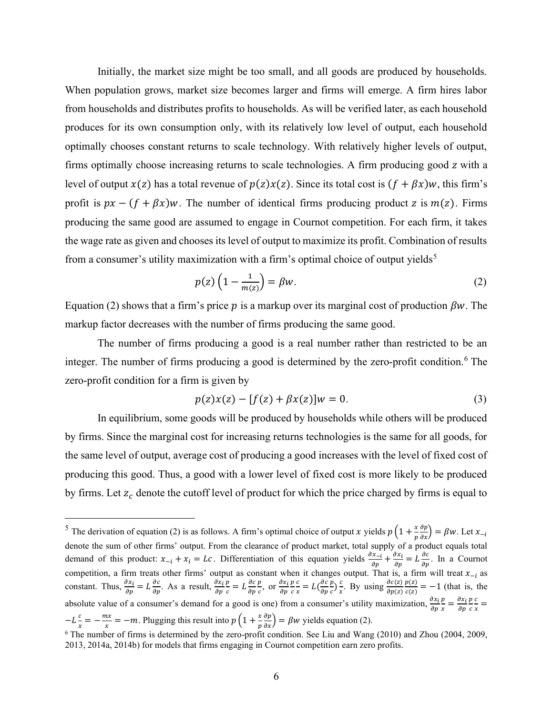Initially, the market size might be too small, and all goods are produced by households. When population grows, market size becomes larger and firms will emerge. A firm hires labor from households and distributes profits to households. As will be verified later, as each household produces for its own consumption only, with its relatively low level of output, each household optimally chooses constant returns to scale technology. With relatively higher levels of output, firms optimally choose increasing returns to scale technologies. A firm producing good z with a level of output  $x(z)$  has a total revenue of  $p(z)x(z)$ . Since its total cost is  $(f + \beta x)w$ , this firm's profit is  $px - (f + \beta x)w$ . The number of identical firms producing product z is  $m(z)$ . Firms producing the same good are assumed to engage in Cournot competition. For each firm, it takes the wage rate as given and chooses its level of output to maximize its profit. Combination of results from a consumer's utility maximization with a firm's optimal choice of output yields<sup>5</sup>

$$
p(z)\left(1 - \frac{1}{m(z)}\right) = \beta w. \tag{2}
$$

Equation (2) shows that a firm's price p is a markup over its marginal cost of production  $\beta w$ . The markup factor decreases with the number of firms producing the same good.

The number of firms producing a good is a real number rather than restricted to be an integer. The number of firms producing a good is determined by the zero-profit condition.<sup>6</sup> The zero-profit condition for a firm is given by

$$
p(z)x(z) - [f(z) + \beta x(z)]w = 0.
$$
 (3)

In equilibrium, some goods will be produced by households while others will be produced by firms. Since the marginal cost for increasing returns technologies is the same for all goods, for the same level of output, average cost of producing a good increases with the level of fixed cost of producing this good. Thus, a good with a lower level of fixed cost is more likely to be produced by firms. Let  $z_c$  denote the cutoff level of product for which the price charged by firms is equal to

<sup>&</sup>lt;sup>5</sup> The derivation of equation (2) is as follows. A firm's optimal choice of output x yields  $p\left(1+\frac{x}{p}\frac{\partial p}{\partial x}\right) = \beta w$ . Let  $x_{-i}$ denote the sum of other firms' output. From the clearance of product market, total supply of a product equals total demand of this product:  $x_{-i} + x_i = Lc$ . Differentiation of this equation yields  $\frac{\partial x_{-i}}{\partial p} + \frac{\partial x_i}{\partial p} = L \frac{\partial c}{\partial p}$ . In a Cournot competition, a firm treats other firms' output as constant when it changes output. That is, a firm will treat  $x_{-i}$  as constant. Thus,  $\frac{\partial x_i}{\partial p} = L \frac{\partial c}{\partial p}$ . As a result,  $\frac{\partial x_i}{\partial p}$  $\boldsymbol{p}$  $\frac{p}{c} = L \frac{\partial c}{\partial p}$  $\frac{p}{2}$  $\frac{p}{c}$ , or  $\frac{\partial x_i}{\partial p}$ డ  $\frac{p}{2}$  $\mathcal{C}_{\mathcal{C}}$  $\mathcal{C}_{\mathcal{C}}$  $\frac{c}{x} = L(\frac{\partial c}{\partial p})$  $\boldsymbol{p}$  $\frac{p}{c}$ ) $\frac{c}{x}$  $\frac{c}{x}$ . By using  $\frac{\partial c(z)}{\partial p(z)}$  $p(z)$  $\frac{p(z)}{c(z)} = -1$  (that is, the absolute value of a consumer's demand for a good is one) from a consumer's utility maximization,  $\frac{\partial x_i}{\partial p}$  $\boldsymbol{p}$  $\frac{p}{x} = \frac{\partial x_i}{\partial p}$ dp  $\boldsymbol{p}$  $\mathcal{C}_{\mathcal{C}}$  $\epsilon$  $\frac{1}{x}$  =  $-L\frac{c}{x}=-\frac{mx}{x}$  $\frac{dx}{dx} = -m$ . Plugging this result into  $p\left(1 + \frac{x}{p}\right)$  $\frac{\partial p}{\partial x}$  =  $\beta w$  yields equation (2).

 $6$  The number of firms is determined by the zero-profit condition. See Liu and Wang (2010) and Zhou (2004, 2009, 2013, 2014a, 2014b) for models that firms engaging in Cournot competition earn zero profits.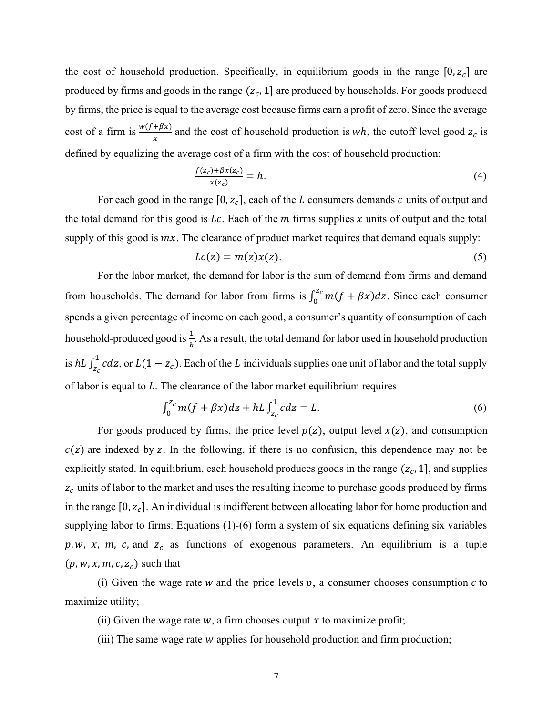the cost of household production. Specifically, in equilibrium goods in the range  $[0, z_c]$  are produced by firms and goods in the range  $(z_c, 1]$  are produced by households. For goods produced by firms, the price is equal to the average cost because firms earn a profit of zero. Since the average cost of a firm is  $\frac{w(t+\beta x)}{x}$  and the cost of household production is wh, the cutoff level good  $z_c$  is defined by equalizing the average cost of a firm with the cost of household production:

$$
\frac{f(z_c) + \beta x(z_c)}{x(z_c)} = h. \tag{4}
$$

For each good in the range [0,  $z_c$ ], each of the L consumers demands c units of output and the total demand for this good is Lc. Each of the  $m$  firms supplies  $x$  units of output and the total supply of this good is  $mx$ . The clearance of product market requires that demand equals supply:

$$
Lc(z) = m(z)x(z). \tag{5}
$$

For the labor market, the demand for labor is the sum of demand from firms and demand from households. The demand for labor from firms is  $\int_0^{z_c} m(f + \beta x) dz$ . Since each consumer spends a given percentage of income on each good, a consumer's quantity of consumption of each household-produced good is  $\frac{1}{h}$ . As a result, the total demand for labor used in household production is  $h L \int_{z_c}^{1} c dz$ , or  $L(1 - z_c)$ . Each of the L individuals supplies one unit of labor and the total supply of labor is equal to  $L$ . The clearance of the labor market equilibrium requires

$$
\int_0^{Z_c} m(f + \beta x) dz + hL \int_{Z_c}^1 c dz = L. \tag{6}
$$

For goods produced by firms, the price level  $p(z)$ , output level  $x(z)$ , and consumption  $c(z)$  are indexed by z. In the following, if there is no confusion, this dependence may not be explicitly stated. In equilibrium, each household produces goods in the range  $(z_c, 1]$ , and supplies  $z_c$  units of labor to the market and uses the resulting income to purchase goods produced by firms in the range  $[0, z_c]$ . An individual is indifferent between allocating labor for home production and supplying labor to firms. Equations (1)-(6) form a system of six equations defining six variables p, w, x, m, c, and  $z_c$  as functions of exogenous parameters. An equilibrium is a tuple  $(p, w, x, m, c, z_c)$  such that

(i) Given the wage rate  $w$  and the price levels  $p$ , a consumer chooses consumption  $c$  to maximize utility;

- (ii) Given the wage rate  $w$ , a firm chooses output  $x$  to maximize profit;
- (iii) The same wage rate  $w$  applies for household production and firm production;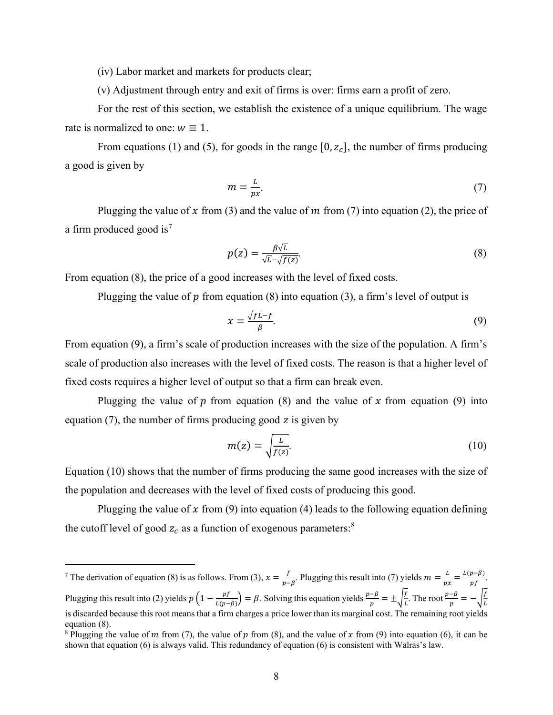(iv) Labor market and markets for products clear;

(v) Adjustment through entry and exit of firms is over: firms earn a profit of zero.

For the rest of this section, we establish the existence of a unique equilibrium. The wage rate is normalized to one:  $w \equiv 1$ .

From equations (1) and (5), for goods in the range  $[0, z_c]$ , the number of firms producing a good is given by

$$
m = \frac{L}{px}.
$$
 (7)

Plugging the value of x from (3) and the value of m from (7) into equation (2), the price of a firm produced good is<sup>7</sup>

$$
p(z) = \frac{\beta \sqrt{L}}{\sqrt{L} - \sqrt{f(z)}}.\tag{8}
$$

From equation (8), the price of a good increases with the level of fixed costs.

Plugging the value of  $p$  from equation (8) into equation (3), a firm's level of output is

$$
x = \frac{\sqrt{f}L - f}{\beta}.\tag{9}
$$

From equation (9), a firm's scale of production increases with the size of the population. A firm's scale of production also increases with the level of fixed costs. The reason is that a higher level of fixed costs requires a higher level of output so that a firm can break even.

Plugging the value of  $p$  from equation (8) and the value of  $x$  from equation (9) into equation  $(7)$ , the number of firms producing good z is given by

$$
m(z) = \sqrt{\frac{L}{f(z)}}.\tag{10}
$$

Equation (10) shows that the number of firms producing the same good increases with the size of the population and decreases with the level of fixed costs of producing this good.

Plugging the value of  $x$  from (9) into equation (4) leads to the following equation defining the cutoff level of good  $z_c$  as a function of exogenous parameters:<sup>8</sup>

<sup>&</sup>lt;sup>7</sup> The derivation of equation (8) is as follows. From (3),  $x = \frac{f}{x-1}$  $\frac{f}{p-\beta}$ . Plugging this result into (7) yields  $m = \frac{L}{p\beta}$ .  $rac{L}{px} = \frac{L(p-\beta)}{pf}$  $\frac{\rho - \rho}{\rho f}$ . Plugging this result into (2) yields  $p\left(1 - \frac{pt}{L(p-\beta)}\right) = \beta$ . Solving this equation yields  $\frac{p-\beta}{p} = \pm \sqrt{\frac{t}{L}}$  $\frac{f}{L}$ . The root  $\frac{p-\beta}{p} = -\sqrt{\frac{f}{L}}$ L is discarded because this root means that a firm charges a price lower than its marginal cost. The remaining root yields equation (8).

<sup>&</sup>lt;sup>8</sup> Plugging the value of *m* from (7), the value of *p* from (8), and the value of *x* from (9) into equation (6), it can be shown that equation (6) is always valid. This redundancy of equation (6) is consistent with Walras's law.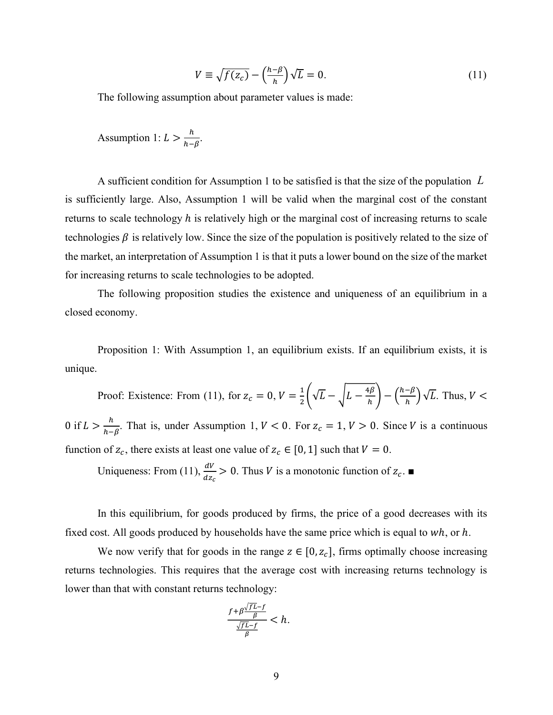$$
V \equiv \sqrt{f(z_c)} - \left(\frac{h-\beta}{h}\right)\sqrt{L} = 0. \tag{11}
$$

The following assumption about parameter values is made:

Assumption 1:  $L > \frac{h}{h-\beta}$ .

A sufficient condition for Assumption 1 to be satisfied is that the size of the population  $L$ is sufficiently large. Also, Assumption 1 will be valid when the marginal cost of the constant returns to scale technology  $h$  is relatively high or the marginal cost of increasing returns to scale technologies  $\beta$  is relatively low. Since the size of the population is positively related to the size of the market, an interpretation of Assumption 1 is that it puts a lower bound on the size of the market for increasing returns to scale technologies to be adopted.

The following proposition studies the existence and uniqueness of an equilibrium in a closed economy.

Proposition 1: With Assumption 1, an equilibrium exists. If an equilibrium exists, it is unique.

Proof: Existence: From (11), for  $z_c = 0$ ,  $V = \frac{1}{2} \left( \sqrt{L} - \sqrt{L - \frac{4\beta}{h}} \right) - \left( \frac{h - \beta}{h} \right) \sqrt{L}$ . Thus,  $V <$ 0 if  $L > \frac{h}{h-\beta}$ . That is, under Assumption 1,  $V < 0$ . For  $z_c = 1$ ,  $V > 0$ . Since V is a continuous function of  $z_c$ , there exists at least one value of  $z_c \in [0, 1]$  such that  $V = 0$ .

Uniqueness: From (11),  $\frac{dV}{dx}$  $\frac{dv}{dz_c} > 0$ . Thus *V* is a monotonic function of  $z_c$ .

In this equilibrium, for goods produced by firms, the price of a good decreases with its fixed cost. All goods produced by households have the same price which is equal to  $wh$ , or  $h$ .

We now verify that for goods in the range  $z \in [0, z_c]$ , firms optimally choose increasing returns technologies. This requires that the average cost with increasing returns technology is lower than that with constant returns technology:

$$
\frac{f+\beta\frac{\sqrt{fL}-f}{\beta}}{\frac{\sqrt{fL}-f}{\beta}} < h.
$$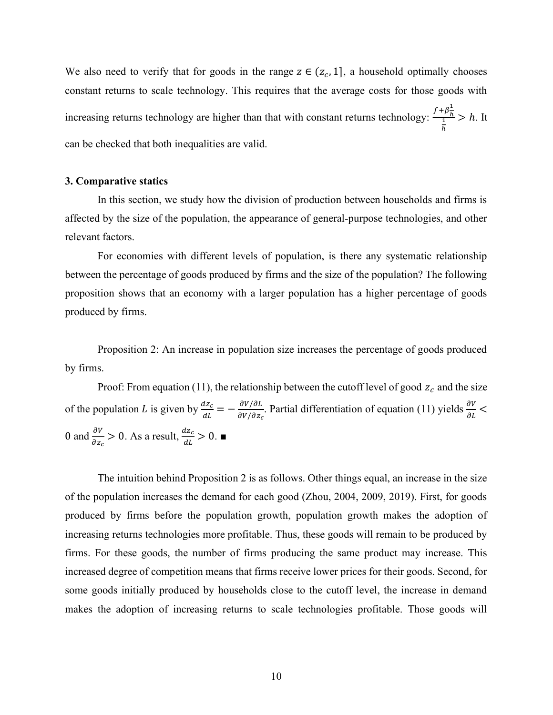We also need to verify that for goods in the range  $z \in (z_c, 1]$ , a household optimally chooses constant returns to scale technology. This requires that the average costs for those goods with increasing returns technology are higher than that with constant returns technology:  $\frac{f+\beta\frac{1}{h}}{\frac{1}{h}}$ h  $> h$ . It can be checked that both inequalities are valid.

#### 3. Comparative statics

In this section, we study how the division of production between households and firms is affected by the size of the population, the appearance of general-purpose technologies, and other relevant factors.

For economies with different levels of population, is there any systematic relationship between the percentage of goods produced by firms and the size of the population? The following proposition shows that an economy with a larger population has a higher percentage of goods produced by firms.

Proposition 2: An increase in population size increases the percentage of goods produced by firms.

Proof: From equation (11), the relationship between the cutoff level of good  $z_c$  and the size of the population L is given by  $\frac{dz_c}{dt} = -\frac{\partial V/\partial L}{\partial V/\partial z_c}$  $dV/dZ_c$ . Partial differentiation of equation (11) yields  $\frac{\partial V}{\partial L}$  < 0 and  $\frac{\partial V}{\partial z_c} > 0$ . As a result,  $\frac{dz_c}{dL} > 0$ .

The intuition behind Proposition 2 is as follows. Other things equal, an increase in the size of the population increases the demand for each good (Zhou, 2004, 2009, 2019). First, for goods produced by firms before the population growth, population growth makes the adoption of increasing returns technologies more profitable. Thus, these goods will remain to be produced by firms. For these goods, the number of firms producing the same product may increase. This increased degree of competition means that firms receive lower prices for their goods. Second, for some goods initially produced by households close to the cutoff level, the increase in demand makes the adoption of increasing returns to scale technologies profitable. Those goods will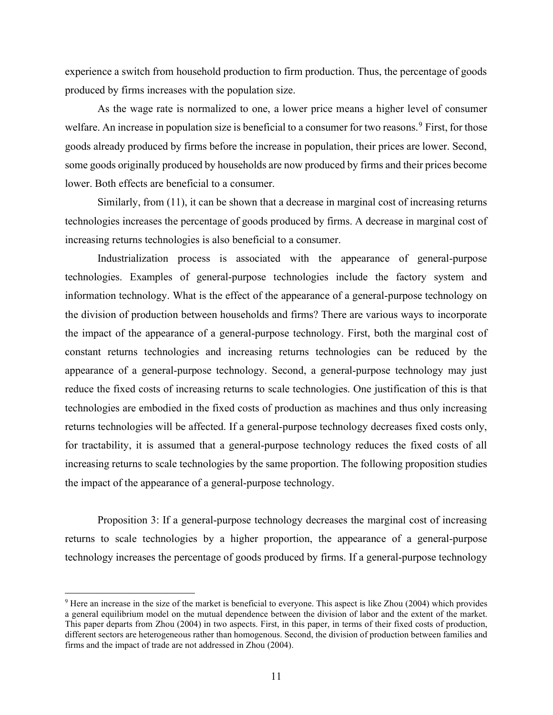experience a switch from household production to firm production. Thus, the percentage of goods produced by firms increases with the population size.

As the wage rate is normalized to one, a lower price means a higher level of consumer welfare. An increase in population size is beneficial to a consumer for two reasons.<sup>9</sup> First, for those goods already produced by firms before the increase in population, their prices are lower. Second, some goods originally produced by households are now produced by firms and their prices become lower. Both effects are beneficial to a consumer.

Similarly, from (11), it can be shown that a decrease in marginal cost of increasing returns technologies increases the percentage of goods produced by firms. A decrease in marginal cost of increasing returns technologies is also beneficial to a consumer.

Industrialization process is associated with the appearance of general-purpose technologies. Examples of general-purpose technologies include the factory system and information technology. What is the effect of the appearance of a general-purpose technology on the division of production between households and firms? There are various ways to incorporate the impact of the appearance of a general-purpose technology. First, both the marginal cost of constant returns technologies and increasing returns technologies can be reduced by the appearance of a general-purpose technology. Second, a general-purpose technology may just reduce the fixed costs of increasing returns to scale technologies. One justification of this is that technologies are embodied in the fixed costs of production as machines and thus only increasing returns technologies will be affected. If a general-purpose technology decreases fixed costs only, for tractability, it is assumed that a general-purpose technology reduces the fixed costs of all increasing returns to scale technologies by the same proportion. The following proposition studies the impact of the appearance of a general-purpose technology.

Proposition 3: If a general-purpose technology decreases the marginal cost of increasing returns to scale technologies by a higher proportion, the appearance of a general-purpose technology increases the percentage of goods produced by firms. If a general-purpose technology

<sup>&</sup>lt;sup>9</sup> Here an increase in the size of the market is beneficial to everyone. This aspect is like Zhou (2004) which provides a general equilibrium model on the mutual dependence between the division of labor and the extent of the market. This paper departs from Zhou (2004) in two aspects. First, in this paper, in terms of their fixed costs of production, different sectors are heterogeneous rather than homogenous. Second, the division of production between families and firms and the impact of trade are not addressed in Zhou (2004).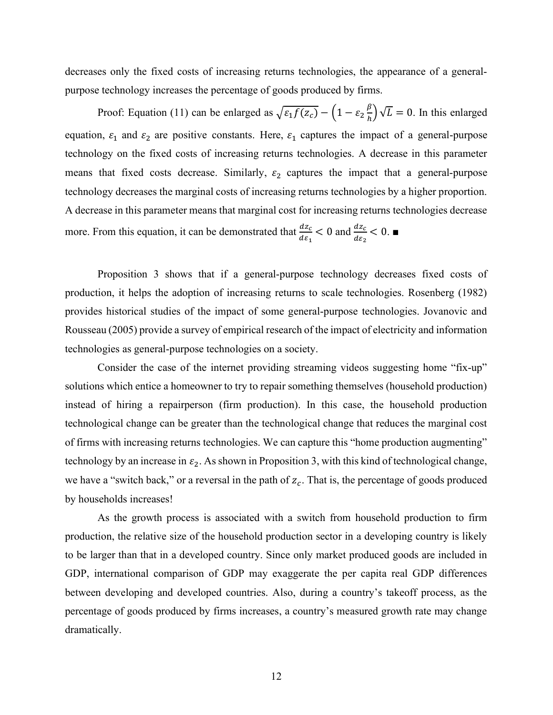decreases only the fixed costs of increasing returns technologies, the appearance of a generalpurpose technology increases the percentage of goods produced by firms.

Proof: Equation (11) can be enlarged as  $\sqrt{\varepsilon_1 f(z_c)} - \left(1 - \varepsilon_2 \frac{\beta}{h}\right)$  $\binom{p}{h}$   $\sqrt{L} = 0$ . In this enlarged equation,  $\varepsilon_1$  and  $\varepsilon_2$  are positive constants. Here,  $\varepsilon_1$  captures the impact of a general-purpose technology on the fixed costs of increasing returns technologies. A decrease in this parameter means that fixed costs decrease. Similarly,  $\varepsilon_2$  captures the impact that a general-purpose technology decreases the marginal costs of increasing returns technologies by a higher proportion. A decrease in this parameter means that marginal cost for increasing returns technologies decrease more. From this equation, it can be demonstrated that  $\frac{dz_c}{dz}$  $\frac{dz_c}{d\varepsilon_1}$  < 0 and  $\frac{dz_c}{d\varepsilon_2}$  < 0.  $\blacksquare$ 

 Proposition 3 shows that if a general-purpose technology decreases fixed costs of production, it helps the adoption of increasing returns to scale technologies. Rosenberg (1982) provides historical studies of the impact of some general-purpose technologies. Jovanovic and Rousseau (2005) provide a survey of empirical research of the impact of electricity and information technologies as general-purpose technologies on a society.

 Consider the case of the internet providing streaming videos suggesting home "fix-up" solutions which entice a homeowner to try to repair something themselves (household production) instead of hiring a repairperson (firm production). In this case, the household production technological change can be greater than the technological change that reduces the marginal cost of firms with increasing returns technologies. We can capture this "home production augmenting" technology by an increase in  $\varepsilon_2$ . As shown in Proposition 3, with this kind of technological change, we have a "switch back," or a reversal in the path of  $z_c$ . That is, the percentage of goods produced by households increases!

As the growth process is associated with a switch from household production to firm production, the relative size of the household production sector in a developing country is likely to be larger than that in a developed country. Since only market produced goods are included in GDP, international comparison of GDP may exaggerate the per capita real GDP differences between developing and developed countries. Also, during a country's takeoff process, as the percentage of goods produced by firms increases, a country's measured growth rate may change dramatically.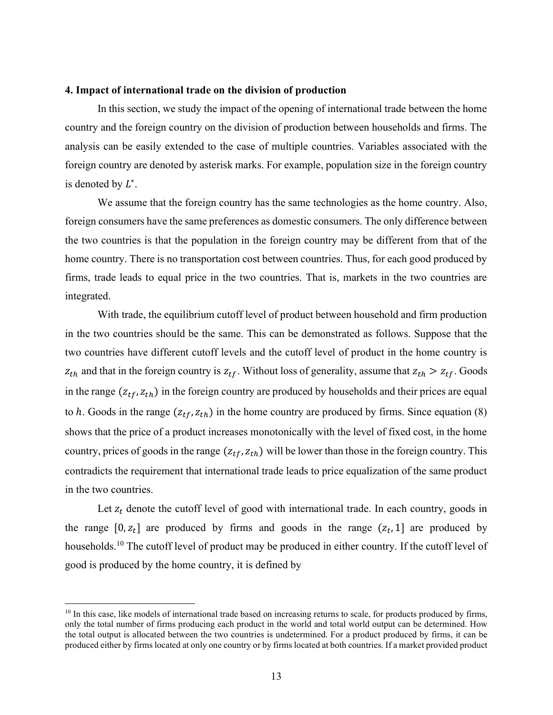## 4. Impact of international trade on the division of production

In this section, we study the impact of the opening of international trade between the home country and the foreign country on the division of production between households and firms. The analysis can be easily extended to the case of multiple countries. Variables associated with the foreign country are denoted by asterisk marks. For example, population size in the foreign country is denoted by  $L^*$ .

We assume that the foreign country has the same technologies as the home country. Also, foreign consumers have the same preferences as domestic consumers. The only difference between the two countries is that the population in the foreign country may be different from that of the home country. There is no transportation cost between countries. Thus, for each good produced by firms, trade leads to equal price in the two countries. That is, markets in the two countries are integrated.

With trade, the equilibrium cutoff level of product between household and firm production in the two countries should be the same. This can be demonstrated as follows. Suppose that the two countries have different cutoff levels and the cutoff level of product in the home country is  $z_{th}$  and that in the foreign country is  $z_{tf}$ . Without loss of generality, assume that  $z_{th} > z_{tf}$ . Goods in the range  $(z_{tf}, z_{th})$  in the foreign country are produced by households and their prices are equal to h. Goods in the range  $(z_{tf}, z_{th})$  in the home country are produced by firms. Since equation (8) shows that the price of a product increases monotonically with the level of fixed cost, in the home country, prices of goods in the range  $(z_{tf}, z_{th})$  will be lower than those in the foreign country. This contradicts the requirement that international trade leads to price equalization of the same product in the two countries.

Let  $z_t$  denote the cutoff level of good with international trade. In each country, goods in the range  $[0, z_t]$  are produced by firms and goods in the range  $(z_t, 1]$  are produced by households.<sup>10</sup> The cutoff level of product may be produced in either country. If the cutoff level of good is produced by the home country, it is defined by

 $10$  In this case, like models of international trade based on increasing returns to scale, for products produced by firms, only the total number of firms producing each product in the world and total world output can be determined. How the total output is allocated between the two countries is undetermined. For a product produced by firms, it can be produced either by firms located at only one country or by firms located at both countries. If a market provided product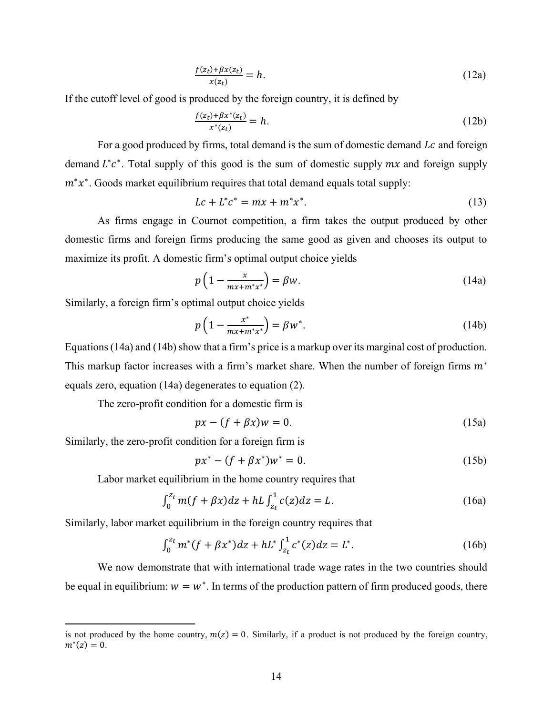$$
\frac{f(z_t) + \beta x(z_t)}{x(z_t)} = h. \tag{12a}
$$

If the cutoff level of good is produced by the foreign country, it is defined by

$$
\frac{f(z_t) + \beta x^*(z_t)}{x^*(z_t)} = h.
$$
\n(12b)

For a good produced by firms, total demand is the sum of domestic demand  $Lc$  and foreign demand  $L^*c^*$ . Total supply of this good is the sum of domestic supply  $mx$  and foreign supply  $m^*x^*$ . Goods market equilibrium requires that total demand equals total supply:

$$
Lc + L^*c^* = mx + m^*x^*.
$$
 (13)

As firms engage in Cournot competition, a firm takes the output produced by other domestic firms and foreign firms producing the same good as given and chooses its output to maximize its profit. A domestic firm's optimal output choice yields

$$
p\left(1 - \frac{x}{mx + m^*x^*}\right) = \beta w. \tag{14a}
$$

Similarly, a foreign firm's optimal output choice yields

$$
p\left(1 - \frac{x^*}{mx + m^*x^*}\right) = \beta w^*.
$$
 (14b)

Equations (14a) and (14b) show that a firm's price is a markup over its marginal cost of production. This markup factor increases with a firm's market share. When the number of foreign firms  $m^*$ equals zero, equation (14a) degenerates to equation (2).

The zero-profit condition for a domestic firm is

$$
px - (f + \beta x)w = 0. \tag{15a}
$$

Similarly, the zero-profit condition for a foreign firm is

$$
px^* - (f + \beta x^*)w^* = 0.
$$
 (15b)

Labor market equilibrium in the home country requires that

$$
\int_0^{z_t} m(f + \beta x) dz + hL \int_{z_t}^1 c(z) dz = L.
$$
 (16a)

Similarly, labor market equilibrium in the foreign country requires that

$$
\int_0^{Zt} m^*(f + \beta x^*) dz + hL^* \int_{z_t}^1 c^*(z) dz = L^*.
$$
 (16b)

We now demonstrate that with international trade wage rates in the two countries should be equal in equilibrium:  $w = w^*$ . In terms of the production pattern of firm produced goods, there

is not produced by the home country,  $m(z) = 0$ . Similarly, if a product is not produced by the foreign country,  $m^*(z) = 0.$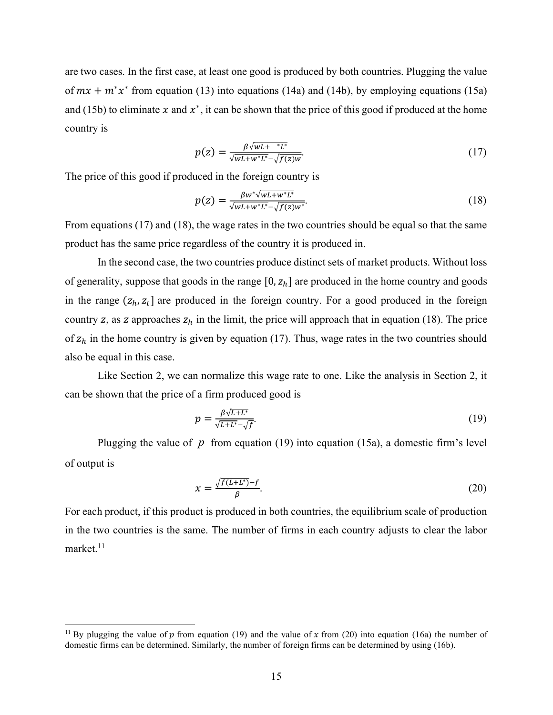are two cases. In the first case, at least one good is produced by both countries. Plugging the value of  $mx + m^*x^*$  from equation (13) into equations (14a) and (14b), by employing equations (15a) and (15b) to eliminate x and  $x^*$ , it can be shown that the price of this good if produced at the home country is

$$
p(z) = \frac{\beta \sqrt{WL + \, ^*L^*}}{\sqrt{WL + w^*L^*} - \sqrt{f(z)w}}.\tag{17}
$$

The price of this good if produced in the foreign country is

$$
p(z) = \frac{\beta w^* \sqrt{w L + w^* L^*}}{\sqrt{w L + w^* L^*} - \sqrt{f(z) w^*}}.
$$
\n(18)

From equations (17) and (18), the wage rates in the two countries should be equal so that the same product has the same price regardless of the country it is produced in.

In the second case, the two countries produce distinct sets of market products. Without loss of generality, suppose that goods in the range  $[0, z_h]$  are produced in the home country and goods in the range  $(z_h, z_t]$  are produced in the foreign country. For a good produced in the foreign country z, as z approaches  $z_h$  in the limit, the price will approach that in equation (18). The price of  $z_h$  in the home country is given by equation (17). Thus, wage rates in the two countries should also be equal in this case.

Like Section 2, we can normalize this wage rate to one. Like the analysis in Section 2, it can be shown that the price of a firm produced good is

$$
p = \frac{\beta \sqrt{L+L^*}}{\sqrt{L+L^*} - \sqrt{f}}.\tag{19}
$$

Plugging the value of  $p$  from equation (19) into equation (15a), a domestic firm's level of output is

$$
x = \frac{\sqrt{f(L + L^*)} - f}{\beta}.\tag{20}
$$

For each product, if this product is produced in both countries, the equilibrium scale of production in the two countries is the same. The number of firms in each country adjusts to clear the labor market. $11$ 

<sup>&</sup>lt;sup>11</sup> By plugging the value of  $p$  from equation (19) and the value of  $x$  from (20) into equation (16a) the number of domestic firms can be determined. Similarly, the number of foreign firms can be determined by using (16b).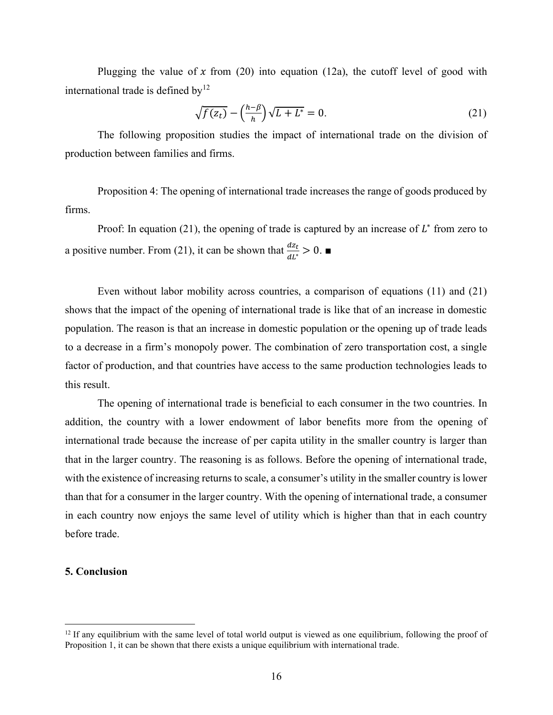Plugging the value of x from (20) into equation (12a), the cutoff level of good with international trade is defined by $12$ 

$$
\sqrt{f(z_t)} - \left(\frac{h-\beta}{h}\right)\sqrt{L+L^*} = 0.
$$
\n(21)

The following proposition studies the impact of international trade on the division of production between families and firms.

Proposition 4: The opening of international trade increases the range of goods produced by firms.

Proof: In equation (21), the opening of trade is captured by an increase of  $L^*$  from zero to a positive number. From (21), it can be shown that  $\frac{dz_t}{dt^*} > 0$ .

Even without labor mobility across countries, a comparison of equations (11) and (21) shows that the impact of the opening of international trade is like that of an increase in domestic population. The reason is that an increase in domestic population or the opening up of trade leads to a decrease in a firm's monopoly power. The combination of zero transportation cost, a single factor of production, and that countries have access to the same production technologies leads to this result.

The opening of international trade is beneficial to each consumer in the two countries. In addition, the country with a lower endowment of labor benefits more from the opening of international trade because the increase of per capita utility in the smaller country is larger than that in the larger country. The reasoning is as follows. Before the opening of international trade, with the existence of increasing returns to scale, a consumer's utility in the smaller country is lower than that for a consumer in the larger country. With the opening of international trade, a consumer in each country now enjoys the same level of utility which is higher than that in each country before trade.

# 5. Conclusion

 $12$  If any equilibrium with the same level of total world output is viewed as one equilibrium, following the proof of Proposition 1, it can be shown that there exists a unique equilibrium with international trade.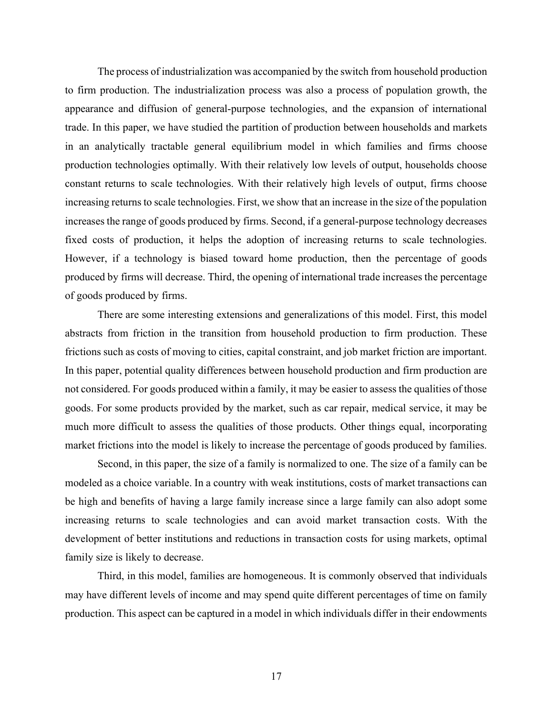The process of industrialization was accompanied by the switch from household production to firm production. The industrialization process was also a process of population growth, the appearance and diffusion of general-purpose technologies, and the expansion of international trade. In this paper, we have studied the partition of production between households and markets in an analytically tractable general equilibrium model in which families and firms choose production technologies optimally. With their relatively low levels of output, households choose constant returns to scale technologies. With their relatively high levels of output, firms choose increasing returns to scale technologies. First, we show that an increase in the size of the population increases the range of goods produced by firms. Second, if a general-purpose technology decreases fixed costs of production, it helps the adoption of increasing returns to scale technologies. However, if a technology is biased toward home production, then the percentage of goods produced by firms will decrease. Third, the opening of international trade increases the percentage of goods produced by firms.

There are some interesting extensions and generalizations of this model. First, this model abstracts from friction in the transition from household production to firm production. These frictions such as costs of moving to cities, capital constraint, and job market friction are important. In this paper, potential quality differences between household production and firm production are not considered. For goods produced within a family, it may be easier to assess the qualities of those goods. For some products provided by the market, such as car repair, medical service, it may be much more difficult to assess the qualities of those products. Other things equal, incorporating market frictions into the model is likely to increase the percentage of goods produced by families.

Second, in this paper, the size of a family is normalized to one. The size of a family can be modeled as a choice variable. In a country with weak institutions, costs of market transactions can be high and benefits of having a large family increase since a large family can also adopt some increasing returns to scale technologies and can avoid market transaction costs. With the development of better institutions and reductions in transaction costs for using markets, optimal family size is likely to decrease.

Third, in this model, families are homogeneous. It is commonly observed that individuals may have different levels of income and may spend quite different percentages of time on family production. This aspect can be captured in a model in which individuals differ in their endowments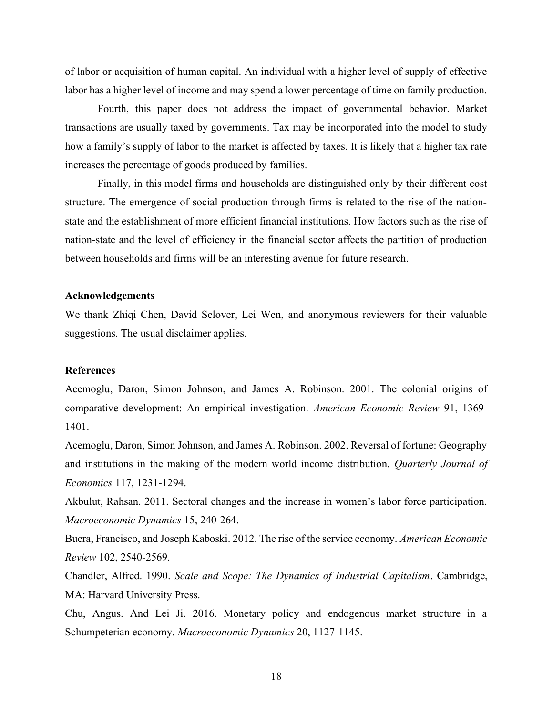of labor or acquisition of human capital. An individual with a higher level of supply of effective labor has a higher level of income and may spend a lower percentage of time on family production.

Fourth, this paper does not address the impact of governmental behavior. Market transactions are usually taxed by governments. Tax may be incorporated into the model to study how a family's supply of labor to the market is affected by taxes. It is likely that a higher tax rate increases the percentage of goods produced by families.

Finally, in this model firms and households are distinguished only by their different cost structure. The emergence of social production through firms is related to the rise of the nationstate and the establishment of more efficient financial institutions. How factors such as the rise of nation-state and the level of efficiency in the financial sector affects the partition of production between households and firms will be an interesting avenue for future research.

#### Acknowledgements

We thank Zhiqi Chen, David Selover, Lei Wen, and anonymous reviewers for their valuable suggestions. The usual disclaimer applies.

# References

Acemoglu, Daron, Simon Johnson, and James A. Robinson. 2001. The colonial origins of comparative development: An empirical investigation. American Economic Review 91, 1369- 1401.

Acemoglu, Daron, Simon Johnson, and James A. Robinson. 2002. Reversal of fortune: Geography and institutions in the making of the modern world income distribution. Quarterly Journal of Economics 117, 1231-1294.

Akbulut, Rahsan. 2011. Sectoral changes and the increase in women's labor force participation. Macroeconomic Dynamics 15, 240-264.

Buera, Francisco, and Joseph Kaboski. 2012. The rise of the service economy. American Economic Review 102, 2540-2569.

Chandler, Alfred. 1990. Scale and Scope: The Dynamics of Industrial Capitalism. Cambridge, MA: Harvard University Press.

Chu, Angus. And Lei Ji. 2016. Monetary policy and endogenous market structure in a Schumpeterian economy. Macroeconomic Dynamics 20, 1127-1145.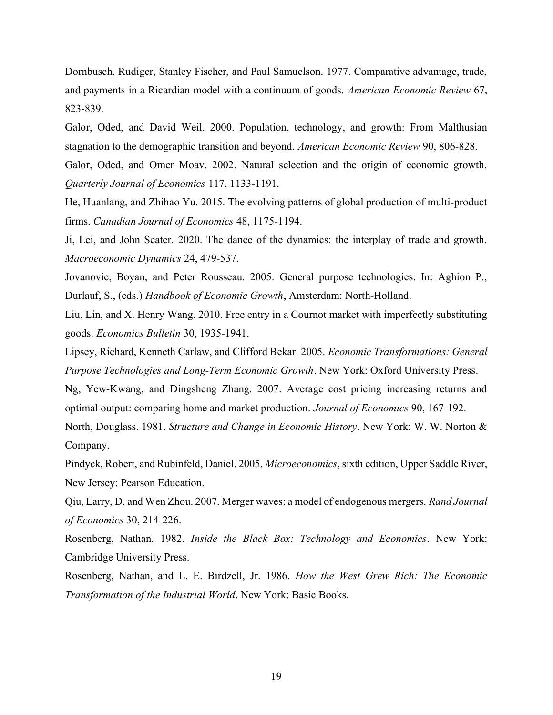Dornbusch, Rudiger, Stanley Fischer, and Paul Samuelson. 1977. Comparative advantage, trade, and payments in a Ricardian model with a continuum of goods. American Economic Review 67, 823-839.

Galor, Oded, and David Weil. 2000. Population, technology, and growth: From Malthusian stagnation to the demographic transition and beyond. American Economic Review 90, 806-828.

Galor, Oded, and Omer Moav. 2002. Natural selection and the origin of economic growth. Quarterly Journal of Economics 117, 1133-1191.

He, Huanlang, and Zhihao Yu. 2015. The evolving patterns of global production of multi-product firms. Canadian Journal of Economics 48, 1175-1194.

Ji, Lei, and John Seater. 2020. The dance of the dynamics: the interplay of trade and growth. Macroeconomic Dynamics 24, 479-537.

Jovanovic, Boyan, and Peter Rousseau. 2005. General purpose technologies. In: Aghion P., Durlauf, S., (eds.) Handbook of Economic Growth, Amsterdam: North-Holland.

Liu, Lin, and X. Henry Wang. 2010. Free entry in a Cournot market with imperfectly substituting goods. Economics Bulletin 30, 1935-1941.

Lipsey, Richard, Kenneth Carlaw, and Clifford Bekar. 2005. Economic Transformations: General Purpose Technologies and Long-Term Economic Growth. New York: Oxford University Press.

Ng, Yew-Kwang, and Dingsheng Zhang. 2007. Average cost pricing increasing returns and optimal output: comparing home and market production. Journal of Economics 90, 167-192.

North, Douglass. 1981. Structure and Change in Economic History. New York: W. W. Norton & Company.

Pindyck, Robert, and Rubinfeld, Daniel. 2005. Microeconomics, sixth edition, Upper Saddle River, New Jersey: Pearson Education.

Qiu, Larry, D. and Wen Zhou. 2007. Merger waves: a model of endogenous mergers. Rand Journal of Economics 30, 214-226.

Rosenberg, Nathan. 1982. Inside the Black Box: Technology and Economics. New York: Cambridge University Press.

Rosenberg, Nathan, and L. E. Birdzell, Jr. 1986. How the West Grew Rich: The Economic Transformation of the Industrial World. New York: Basic Books.